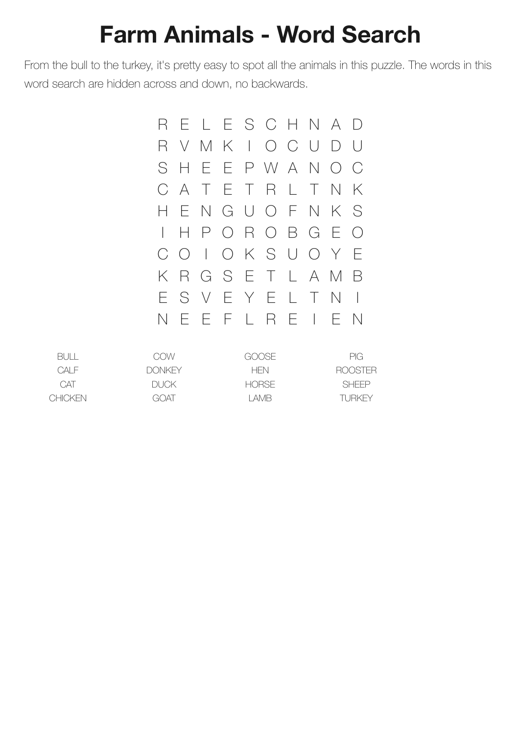## **Farm Animals - Word Search**

From the bull to the turkey, it's pretty easy to spot all the animals in this puzzle. The words in this word search are hidden across and down, no backwards.



| BULL.          | COW           | GOOSE        | PIG.         |
|----------------|---------------|--------------|--------------|
| CAI F          | <b>DONKEY</b> | <b>HFN</b>   | ROOSTER      |
| <b>CAT</b>     | DUCK.         | <b>HORSE</b> | <b>SHFFP</b> |
| <b>CHICKEN</b> | GOAT          | I AMB        | TURKEY       |